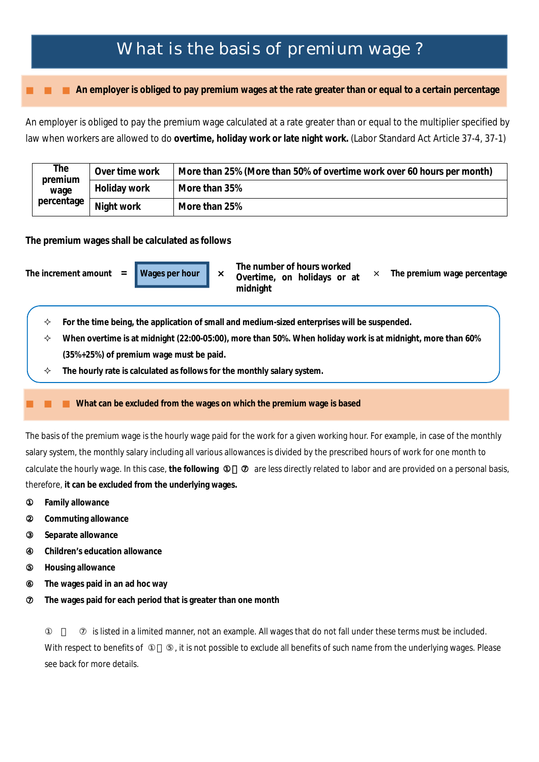## What is the basis of premium wage ?

**An employer is obliged to pay premium wages at the rate greater than or equal to a certain percentage**

An employer is obliged to pay the premium wage calculated at a rate greater than or equal to the multiplier specified by law when workers are allowed to do **overtime, holiday work or late night work.** (Labor Standard Act Article 37-4, 37-1)

| The<br>premium<br>wage<br>percentage | Over time work | More than 25% (More than 50% of overtime work over 60 hours per month) |
|--------------------------------------|----------------|------------------------------------------------------------------------|
|                                      | Holiday work   | More than 35%                                                          |
|                                      | Night work     | More than 25%                                                          |

**The premium wages shall be calculated as follows** 

- 
- **The increment amount = Wages per hour** ×× **The premium wage percentage The number of hours worked Overtime, on holidays or at midnight**
	-
	- **For the time being, the application of small and medium-sized enterprises will be suspended.**
	- **When overtime is at midnight (22:00-05:00), more than 50%. When holiday work is at midnight, more than 60% (35%+25%) of premium wage must be paid.**
	- **The hourly rate is calculated as follows for the monthly salary system.**

## **What can be excluded from the wages on which the premium wage is based**

The basis of the premium wage is the hourly wage paid for the work for a given working hour. For example, in case of the monthly salary system, the monthly salary including all various allowances is divided by the prescribed hours of work for one month to calculate the hourly wage. In this case, the following are less directly related to labor and are provided on a personal basis, therefore, **it can be excluded from the underlying wages.**

- **Family allowance**
- Commuting allowance
- ③ **Separate allowance**
- ④ **Children's education allowance**
- **Housing allowance**
- The wages paid in an ad hoc way
- The wages paid for each period that is greater than one month

is listed in a limited manner, not an example. All wages that do not fall under these terms must be included. With respect to benefits of <br>
a it is not possible to exclude all benefits of such name from the underlying wages. Please see back for more details.